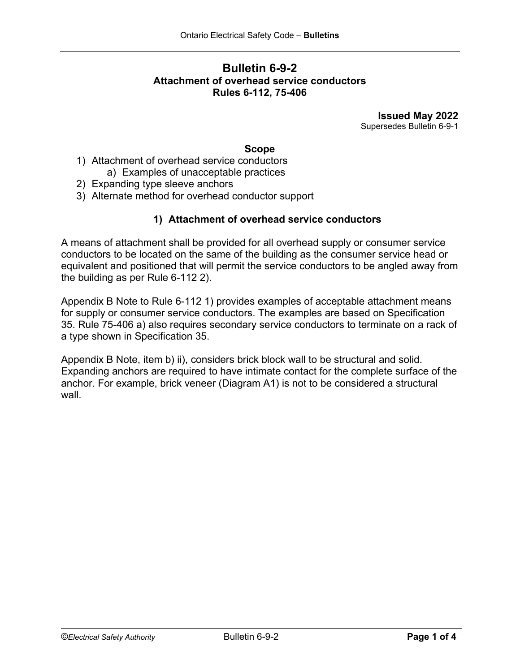## **Bulletin 6-9-2 Attachment of overhead service conductors Rules 6-112, 75-406**

**Issued May 2022** Supersedes Bulletin 6-9-1

#### **Scope**

- 1) Attachment of overhead service conductors a) Examples of unacceptable practices
- 2) Expanding type sleeve anchors
- 3) Alternate method for overhead conductor support

### **1) Attachment of overhead service conductors**

A means of attachment shall be provided for all overhead supply or consumer service conductors to be located on the same of the building as the consumer service head or equivalent and positioned that will permit the service conductors to be angled away from the building as per Rule 6-112 2).

Appendix B Note to Rule 6-112 1) provides examples of acceptable attachment means for supply or consumer service conductors. The examples are based on Specification 35. Rule 75-406 a) also requires secondary service conductors to terminate on a rack of a type shown in Specification 35.

Appendix B Note, item b) ii), considers brick block wall to be structural and solid. Expanding anchors are required to have intimate contact for the complete surface of the anchor. For example, brick veneer (Diagram A1) is not to be considered a structural wall.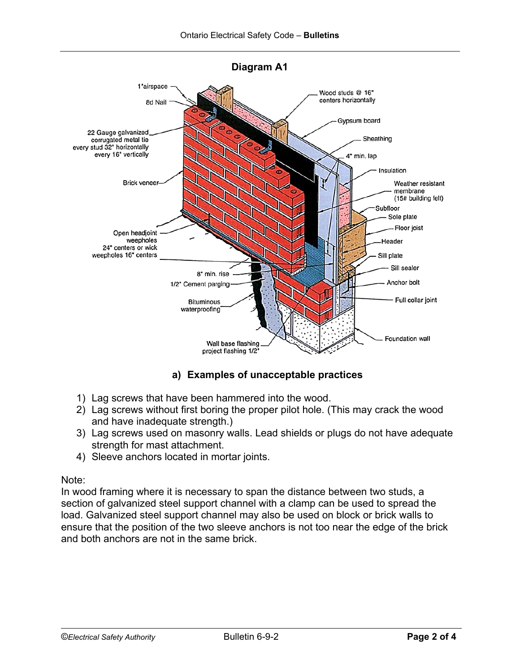

## **a) Examples of unacceptable practices**

- 1) Lag screws that have been hammered into the wood.
- 2) Lag screws without first boring the proper pilot hole. (This may crack the wood and have inadequate strength.)
- 3) Lag screws used on masonry walls. Lead shields or plugs do not have adequate strength for mast attachment.
- 4) Sleeve anchors located in mortar joints.

#### Note:

In wood framing where it is necessary to span the distance between two studs, a section of galvanized steel support channel with a clamp can be used to spread the load. Galvanized steel support channel may also be used on block or brick walls to ensure that the position of the two sleeve anchors is not too near the edge of the brick and both anchors are not in the same brick.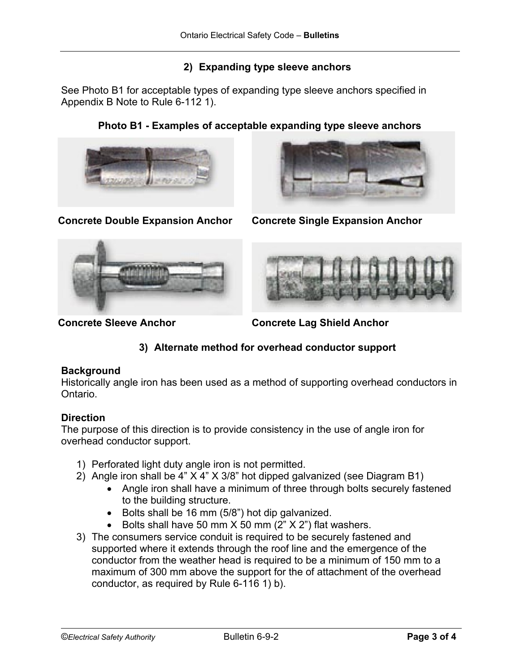### **2) Expanding type sleeve anchors**

See Photo B1 for acceptable types of expanding type sleeve anchors specified in Appendix B Note to Rule 6-112 1).

**Photo B1 - Examples of acceptable expanding type sleeve anchors**



**Concrete Double Expansion Anchor Concrete Single Expansion Anchor**







**Concrete Sleeve Anchor Concrete Lag Shield Anchor**

# **3) Alternate method for overhead conductor support**

### **Background**

Historically angle iron has been used as a method of supporting overhead conductors in Ontario.

## **Direction**

The purpose of this direction is to provide consistency in the use of angle iron for overhead conductor support.

- 1) Perforated light duty angle iron is not permitted.
- 2) Angle iron shall be 4" X 4" X 3/8" hot dipped galvanized (see Diagram B1)
	- Angle iron shall have a minimum of three through bolts securely fastened to the building structure.
		- Bolts shall be 16 mm (5/8") hot dip galvanized.
		- Bolts shall have 50 mm  $X$  50 mm (2"  $X$  2") flat washers.
- 3) The consumers service conduit is required to be securely fastened and supported where it extends through the roof line and the emergence of the conductor from the weather head is required to be a minimum of 150 mm to a maximum of 300 mm above the support for the of attachment of the overhead conductor, as required by Rule 6-116 1) b).